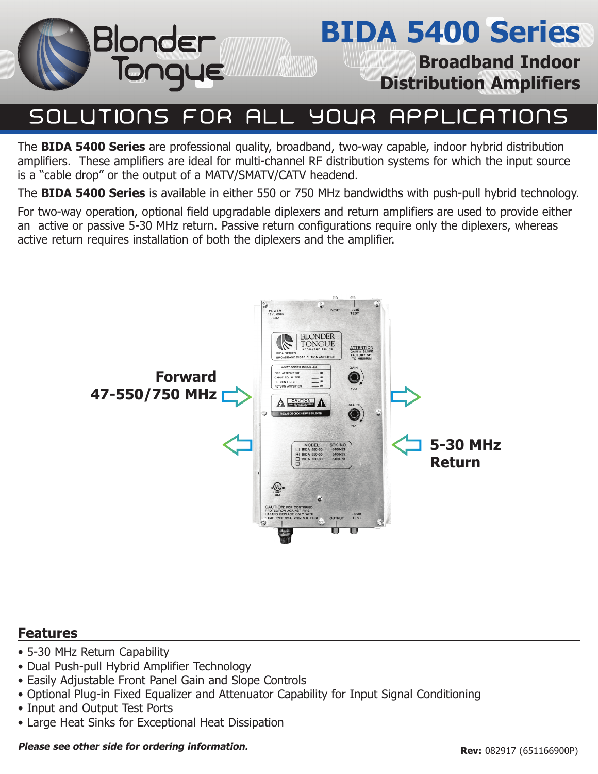

# **BIDA 5400 Series**

**Broadband Indoor Distribution Amplifiers**

#### **SOLUTIONS APPLICATIONS** YOUR FOR ALI

The **BIDA 5400 Series** are professional quality, broadband, two-way capable, indoor hybrid distribution amplifiers. These amplifiers are ideal for multi-channel RF distribution systems for which the input source is a "cable drop" or the output of a MATV/SMATV/CATV headend.

The **BIDA 5400 Series** is available in either 550 or 750 MHz bandwidths with push-pull hybrid technology.

For two-way operation, optional field upgradable diplexers and return amplifiers are used to provide either an active or passive 5-30 MHz return. Passive return configurations require only the diplexers, whereas active return requires installation of both the diplexers and the amplifier.



### **Features**

- 5-30 MHz Return Capability
- Dual Push-pull Hybrid Amplifier Technology
- Easily Adjustable Front Panel Gain and Slope Controls
- Optional Plug-in Fixed Equalizer and Attenuator Capability for Input Signal Conditioning
- Input and Output Test Ports
- Large Heat Sinks for Exceptional Heat Dissipation

#### **Please see other side for ordering information.**